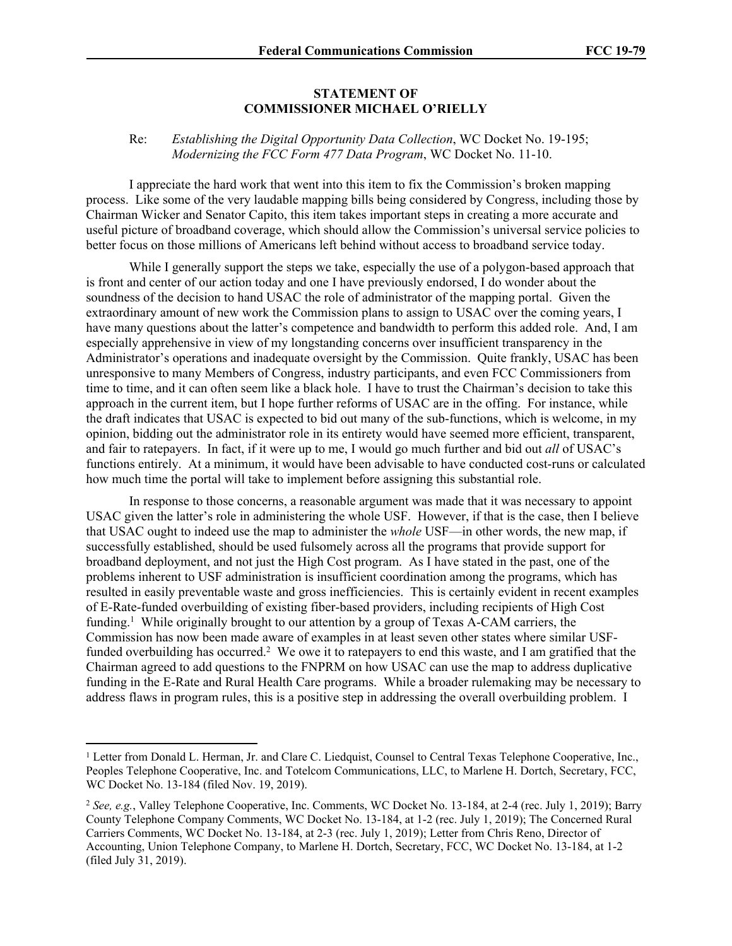## **STATEMENT OF COMMISSIONER MICHAEL O'RIELLY**

## Re: *Establishing the Digital Opportunity Data Collection*, WC Docket No. 19-195; *Modernizing the FCC Form 477 Data Program*, WC Docket No. 11-10.

I appreciate the hard work that went into this item to fix the Commission's broken mapping process. Like some of the very laudable mapping bills being considered by Congress, including those by Chairman Wicker and Senator Capito, this item takes important steps in creating a more accurate and useful picture of broadband coverage, which should allow the Commission's universal service policies to better focus on those millions of Americans left behind without access to broadband service today.

While I generally support the steps we take, especially the use of a polygon-based approach that is front and center of our action today and one I have previously endorsed, I do wonder about the soundness of the decision to hand USAC the role of administrator of the mapping portal. Given the extraordinary amount of new work the Commission plans to assign to USAC over the coming years, I have many questions about the latter's competence and bandwidth to perform this added role. And, I am especially apprehensive in view of my longstanding concerns over insufficient transparency in the Administrator's operations and inadequate oversight by the Commission. Quite frankly, USAC has been unresponsive to many Members of Congress, industry participants, and even FCC Commissioners from time to time, and it can often seem like a black hole. I have to trust the Chairman's decision to take this approach in the current item, but I hope further reforms of USAC are in the offing. For instance, while the draft indicates that USAC is expected to bid out many of the sub-functions, which is welcome, in my opinion, bidding out the administrator role in its entirety would have seemed more efficient, transparent, and fair to ratepayers. In fact, if it were up to me, I would go much further and bid out *all* of USAC's functions entirely. At a minimum, it would have been advisable to have conducted cost-runs or calculated how much time the portal will take to implement before assigning this substantial role.

In response to those concerns, a reasonable argument was made that it was necessary to appoint USAC given the latter's role in administering the whole USF. However, if that is the case, then I believe that USAC ought to indeed use the map to administer the *whole* USF—in other words, the new map, if successfully established, should be used fulsomely across all the programs that provide support for broadband deployment, and not just the High Cost program. As I have stated in the past, one of the problems inherent to USF administration is insufficient coordination among the programs, which has resulted in easily preventable waste and gross inefficiencies. This is certainly evident in recent examples of E-Rate-funded overbuilding of existing fiber-based providers, including recipients of High Cost funding.<sup>1</sup> While originally brought to our attention by a group of Texas A-CAM carriers, the Commission has now been made aware of examples in at least seven other states where similar USFfunded overbuilding has occurred.<sup>2</sup> We owe it to ratepayers to end this waste, and I am gratified that the Chairman agreed to add questions to the FNPRM on how USAC can use the map to address duplicative funding in the E-Rate and Rural Health Care programs. While a broader rulemaking may be necessary to address flaws in program rules, this is a positive step in addressing the overall overbuilding problem. I

<sup>&</sup>lt;sup>1</sup> Letter from Donald L. Herman, Jr. and Clare C. Liedquist, Counsel to Central Texas Telephone Cooperative, Inc., Peoples Telephone Cooperative, Inc. and Totelcom Communications, LLC, to Marlene H. Dortch, Secretary, FCC, WC Docket No. 13-184 (filed Nov. 19, 2019).

<sup>2</sup> *See, e.g.*, Valley Telephone Cooperative, Inc. Comments, WC Docket No. 13-184, at 2-4 (rec. July 1, 2019); Barry County Telephone Company Comments, WC Docket No. 13-184, at 1-2 (rec. July 1, 2019); The Concerned Rural Carriers Comments, WC Docket No. 13-184, at 2-3 (rec. July 1, 2019); Letter from Chris Reno, Director of Accounting, Union Telephone Company, to Marlene H. Dortch, Secretary, FCC, WC Docket No. 13-184, at 1-2 (filed July 31, 2019).